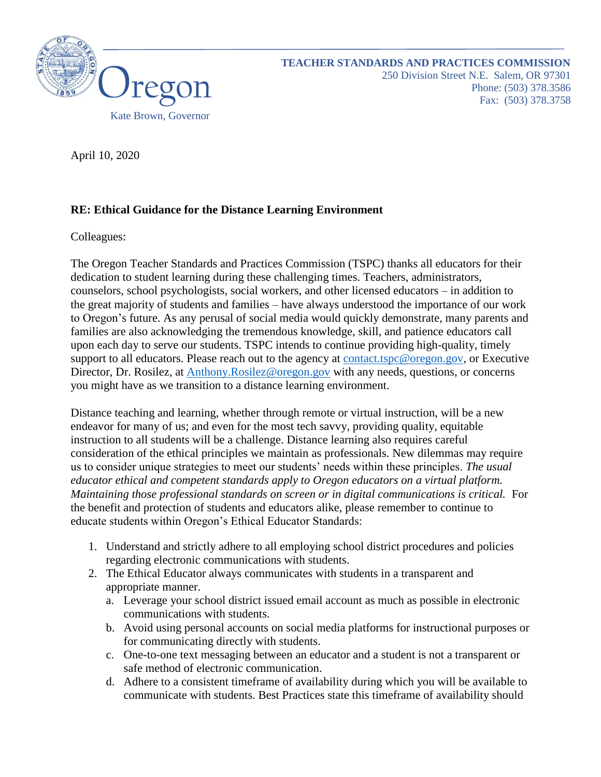

April 10, 2020

## **RE: Ethical Guidance for the Distance Learning Environment**

Colleagues:

The Oregon Teacher Standards and Practices Commission (TSPC) thanks all educators for their dedication to student learning during these challenging times. Teachers, administrators, counselors, school psychologists, social workers, and other licensed educators – in addition to the great majority of students and families – have always understood the importance of our work to Oregon's future. As any perusal of social media would quickly demonstrate, many parents and families are also acknowledging the tremendous knowledge, skill, and patience educators call upon each day to serve our students. TSPC intends to continue providing high-quality, timely support to all educators. Please reach out to the agency at [contact.tspc@oregon.gov,](mailto:contact.tspc@oregon.gov) or Executive Director, Dr. Rosilez, at [Anthony.Rosilez@oregon.gov](mailto:Anthony.Rosilez@oregon.gov) with any needs, questions, or concerns you might have as we transition to a distance learning environment.

Distance teaching and learning, whether through remote or virtual instruction, will be a new endeavor for many of us; and even for the most tech savvy, providing quality, equitable instruction to all students will be a challenge. Distance learning also requires careful consideration of the ethical principles we maintain as professionals. New dilemmas may require us to consider unique strategies to meet our students' needs within these principles. *The usual educator ethical and competent standards apply to Oregon educators on a virtual platform. Maintaining those professional standards on screen or in digital communications is critical.* For the benefit and protection of students and educators alike, please remember to continue to educate students within Oregon's Ethical Educator Standards:

- 1. Understand and strictly adhere to all employing school district procedures and policies regarding electronic communications with students.
- 2. The Ethical Educator always communicates with students in a transparent and appropriate manner.
	- a. Leverage your school district issued email account as much as possible in electronic communications with students.
	- b. Avoid using personal accounts on social media platforms for instructional purposes or for communicating directly with students.
	- c. One-to-one text messaging between an educator and a student is not a transparent or safe method of electronic communication.
	- d. Adhere to a consistent timeframe of availability during which you will be available to communicate with students. Best Practices state this timeframe of availability should